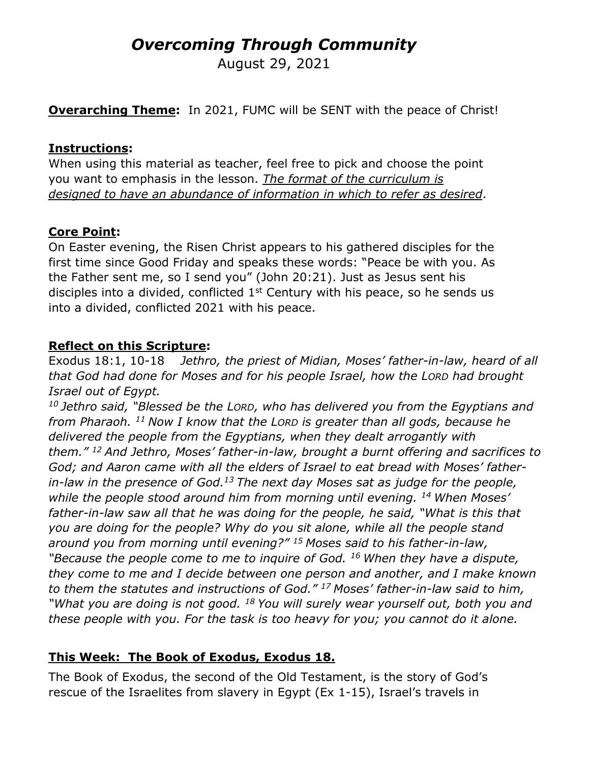# *Overcoming Through Community*

August 29, 2021

**Overarching Theme:** In 2021, FUMC will be SENT with the peace of Christ!

#### **Instructions:**

When using this material as teacher, feel free to pick and choose the point you want to emphasis in the lesson. *The format of the curriculum is designed to have an abundance of information in which to refer as desired*.

### **Core Point:**

On Easter evening, the Risen Christ appears to his gathered disciples for the first time since Good Friday and speaks these words: "Peace be with you. As the Father sent me, so I send you" (John 20:21). Just as Jesus sent his disciples into a divided, conflicted  $1<sup>st</sup>$  Century with his peace, so he sends us into a divided, conflicted 2021 with his peace.

## **Reflect on this Scripture:**

Exodus 18:1, 10-18 *Jethro, the priest of Midian, Moses' father-in-law, heard of all that God had done for Moses and for his people Israel, how the LORD had brought Israel out of Egypt.*

*<sup>10</sup> Jethro said, "Blessed be the LORD, who has delivered you from the Egyptians and from Pharaoh. <sup>11</sup> Now I know that the LORD is greater than all gods, because he delivered the people from the Egyptians, when they dealt arrogantly with them." <sup>12</sup> And Jethro, Moses' father-in-law, brought a burnt offering and sacrifices to God; and Aaron came with all the elders of Israel to eat bread with Moses' fatherin-law in the presence of God.13 The next day Moses sat as judge for the people, while the people stood around him from morning until evening. <sup>14</sup> When Moses' father-in-law saw all that he was doing for the people, he said, "What is this that you are doing for the people? Why do you sit alone, while all the people stand around you from morning until evening?" <sup>15</sup> Moses said to his father-in-law, "Because the people come to me to inquire of God. <sup>16</sup> When they have a dispute, they come to me and I decide between one person and another, and I make known to them the statutes and instructions of God." <sup>17</sup> Moses' father-in-law said to him, "What you are doing is not good. <sup>18</sup> You will surely wear yourself out, both you and these people with you. For the task is too heavy for you; you cannot do it alone.*

## **This Week: The Book of Exodus, Exodus 18.**

The Book of Exodus, the second of the Old Testament, is the story of God's rescue of the Israelites from slavery in Egypt (Ex 1-15), Israel's travels in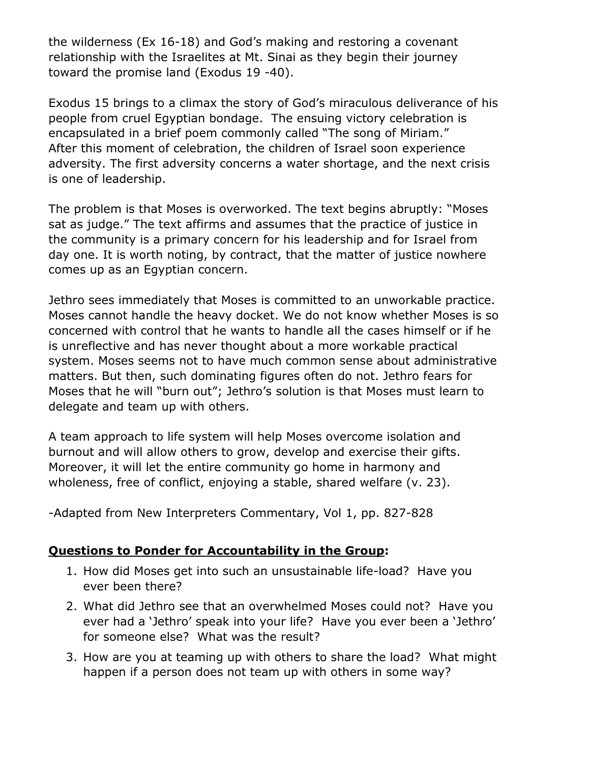the wilderness (Ex 16-18) and God's making and restoring a covenant relationship with the Israelites at Mt. Sinai as they begin their journey toward the promise land (Exodus 19 -40).

Exodus 15 brings to a climax the story of God's miraculous deliverance of his people from cruel Egyptian bondage. The ensuing victory celebration is encapsulated in a brief poem commonly called "The song of Miriam." After this moment of celebration, the children of Israel soon experience adversity. The first adversity concerns a water shortage, and the next crisis is one of leadership.

The problem is that Moses is overworked. The text begins abruptly: "Moses sat as judge." The text affirms and assumes that the practice of justice in the community is a primary concern for his leadership and for Israel from day one. It is worth noting, by contract, that the matter of justice nowhere comes up as an Egyptian concern.

Jethro sees immediately that Moses is committed to an unworkable practice. Moses cannot handle the heavy docket. We do not know whether Moses is so concerned with control that he wants to handle all the cases himself or if he is unreflective and has never thought about a more workable practical system. Moses seems not to have much common sense about administrative matters. But then, such dominating figures often do not. Jethro fears for Moses that he will "burn out"; Jethro's solution is that Moses must learn to delegate and team up with others.

A team approach to life system will help Moses overcome isolation and burnout and will allow others to grow, develop and exercise their gifts. Moreover, it will let the entire community go home in harmony and wholeness, free of conflict, enjoying a stable, shared welfare (v. 23).

-Adapted from New Interpreters Commentary, Vol 1, pp. 827-828

### **Questions to Ponder for Accountability in the Group:**

- 1. How did Moses get into such an unsustainable life-load? Have you ever been there?
- 2. What did Jethro see that an overwhelmed Moses could not? Have you ever had a 'Jethro' speak into your life? Have you ever been a 'Jethro' for someone else? What was the result?
- 3. How are you at teaming up with others to share the load? What might happen if a person does not team up with others in some way?